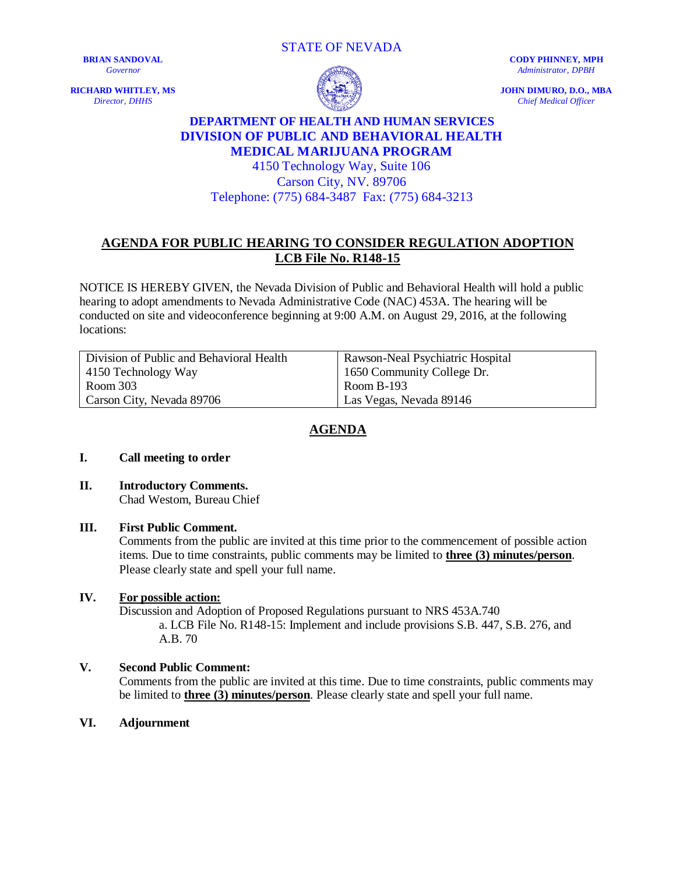STATE OF NEVADA

**BRIAN SANDOVAL** *Governor*

**RICHARD WHITLEY, MS** *Director, DHHS*



**CODY PHINNEY, MPH** *Administrator, DPBH*

**JOHN DIMURO, D.O., MBA** *Chief Medical Officer*

# **DEPARTMENT OF HEALTH AND HUMAN SERVICES DIVISION OF PUBLIC AND BEHAVIORAL HEALTH MEDICAL MARIJUANA PROGRAM**

## 4150 Technology Way, Suite 106 Carson City, NV. 89706 Telephone: (775) 684-3487 Fax: (775) 684-3213

## **AGENDA FOR PUBLIC HEARING TO CONSIDER REGULATION ADOPTION LCB File No. R148-15**

NOTICE IS HEREBY GIVEN, the Nevada Division of Public and Behavioral Health will hold a public hearing to adopt amendments to Nevada Administrative Code (NAC) 453A. The hearing will be conducted on site and videoconference beginning at 9:00 A.M. on August 29, 2016, at the following locations:

| Division of Public and Behavioral Health | Rawson-Neal Psychiatric Hospital |
|------------------------------------------|----------------------------------|
| 4150 Technology Way                      | 1650 Community College Dr.       |
| Room 303                                 | Room B-193                       |
| Carson City, Nevada 89706                | Las Vegas, Nevada 89146          |

## **AGENDA**

#### **I. Call meeting to order**

**II. Introductory Comments.**  Chad Westom, Bureau Chief

## **III. First Public Comment.**

Comments from the public are invited at this time prior to the commencement of possible action items. Due to time constraints, public comments may be limited to **three (3) minutes/person**. Please clearly state and spell your full name.

## **IV. For possible action:**

Discussion and Adoption of Proposed Regulations pursuant to NRS 453A.740 a. LCB File No. R148-15: Implement and include provisions S.B. 447, S.B. 276, and A.B. 70

## **V. Second Public Comment:**

Comments from the public are invited at this time. Due to time constraints, public comments may be limited to **three (3) minutes/person**. Please clearly state and spell your full name.

**VI. Adjournment**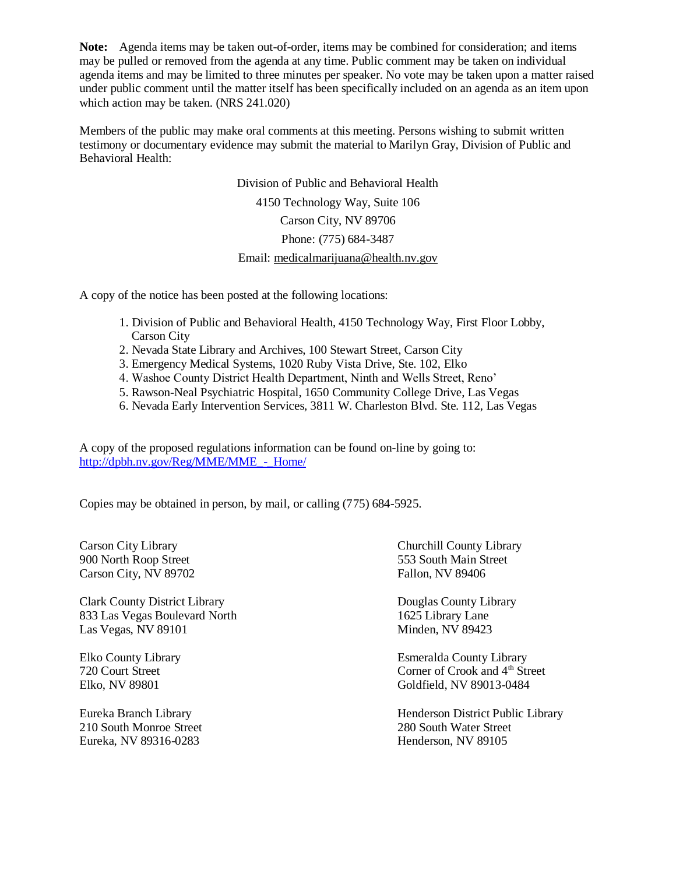**Note:** Agenda items may be taken out-of-order, items may be combined for consideration; and items may be pulled or removed from the agenda at any time. Public comment may be taken on individual agenda items and may be limited to three minutes per speaker. No vote may be taken upon a matter raised under public comment until the matter itself has been specifically included on an agenda as an item upon which action may be taken. (NRS 241.020)

Members of the public may make oral comments at this meeting. Persons wishing to submit written testimony or documentary evidence may submit the material to Marilyn Gray, Division of Public and Behavioral Health:

> Division of Public and Behavioral Health 4150 Technology Way, Suite 106 Carson City, NV 89706 Phone: (775) 684-3487 Email[: medicalmarijuana@health.nv.gov](mailto:medicalmarijuana@health.nv.gov)

A copy of the notice has been posted at the following locations:

- 1. Division of Public and Behavioral Health, 4150 Technology Way, First Floor Lobby, Carson City
- 2. Nevada State Library and Archives, 100 Stewart Street, Carson City
- 3. Emergency Medical Systems, 1020 Ruby Vista Drive, Ste. 102, Elko
- 4. Washoe County District Health Department, Ninth and Wells Street, Reno'
- 5. Rawson-Neal Psychiatric Hospital, 1650 Community College Drive, Las Vegas
- 6. Nevada Early Intervention Services, 3811 W. Charleston Blvd. Ste. 112, Las Vegas

A copy of the proposed regulations information can be found on-line by going to: http://dpbh.nv.gov/Reg/MME/MME - Home/

Copies may be obtained in person, by mail, or calling (775) 684-5925.

900 North Roop Street 553 South Main Street Carson City, NV 89702 Fallon, NV 89406

Clark County District Library Douglas County Library 833 Las Vegas Boulevard North 1625 Library Lane Las Vegas, NV 89101 Minden, NV 89423

210 South Monroe Street 280 South Water Street Eureka, NV 89316-0283 Henderson, NV 89105

Carson City Library Churchill County Library

Elko County Library Esmeralda County Library 720 Court Street Corner of Crook and 4<sup>th</sup> Street Elko, NV 89801 Goldfield, NV 89013-0484

Eureka Branch Library Henderson District Public Library